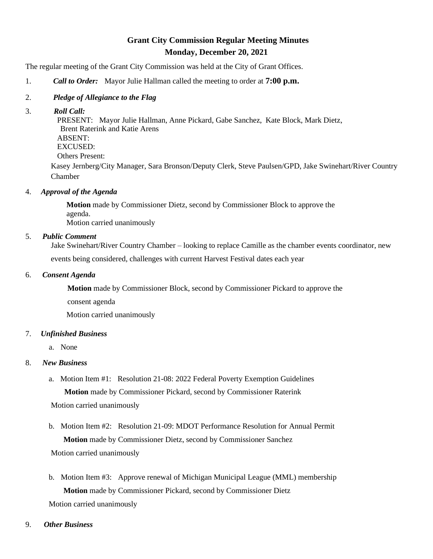# **Grant City Commission Regular Meeting Minutes Monday, December 20, 2021**

The regular meeting of the Grant City Commission was held at the City of Grant Offices.

- 1. *Call to Order:* Mayor Julie Hallman called the meeting to order at **7:00 p.m.**
- 2. *Pledge of Allegiance to the Flag*
- 3. *Roll Call:*

 PRESENT: Mayor Julie Hallman, Anne Pickard, Gabe Sanchez, Kate Block, Mark Dietz, Brent Raterink and Katie Arens ABSENT: EXCUSED: Others Present:

Kasey Jernberg/City Manager, Sara Bronson/Deputy Clerk, Steve Paulsen/GPD, Jake Swinehart/River Country Chamber

4. *Approval of the Agenda*

 **Motion** made by Commissioner Dietz, second by Commissioner Block to approve the agenda. Motion carried unanimously

## 5. *Public Comment*

Jake Swinehart/River Country Chamber – looking to replace Camille as the chamber events coordinator, new events being considered, challenges with current Harvest Festival dates each year

#### 6. *Consent Agenda*

**Motion** made by Commissioner Block, second by Commissioner Pickard to approve the

consent agenda

Motion carried unanimously

## 7. *Unfinished Business*

a. None

## 8. *New Business*

 a. Motion Item #1: Resolution 21-08: 2022 Federal Poverty Exemption Guidelines **Motion** made by Commissioner Pickard, second by Commissioner Raterink

Motion carried unanimously

- b. Motion Item #2: Resolution 21-09: MDOT Performance Resolution for Annual Permit **Motion** made by Commissioner Dietz, second by Commissioner Sanchez Motion carried unanimously
- b. Motion Item #3: Approve renewal of Michigan Municipal League (MML) membership **Motion** made by Commissioner Pickard, second by Commissioner Dietz Motion carried unanimously